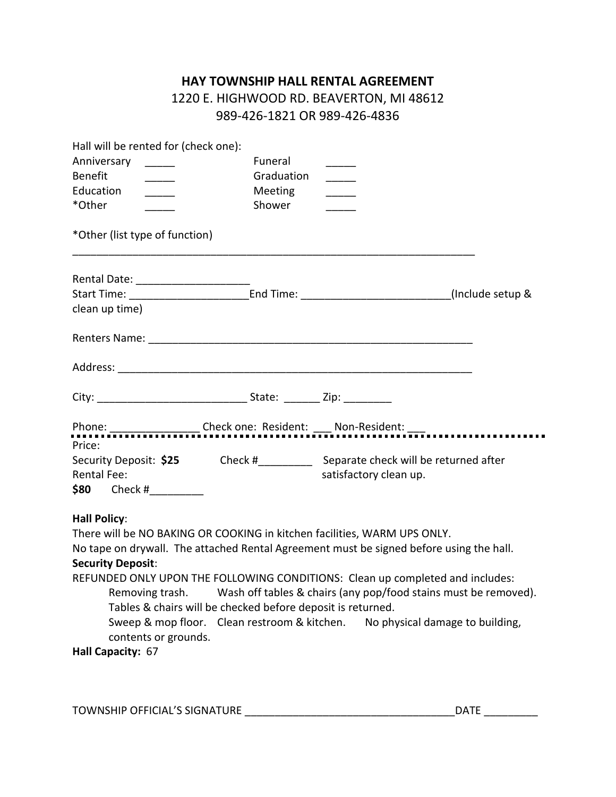## **HAY TOWNSHIP HALL RENTAL AGREEMENT**

## 1220 E. HIGHWOOD RD. BEAVERTON, MI 48612 989-426-1821 OR 989-426-4836

| Hall will be rented for (check one):                                                    |                                                             |                                                                                                       |  |
|-----------------------------------------------------------------------------------------|-------------------------------------------------------------|-------------------------------------------------------------------------------------------------------|--|
| Anniversary _____                                                                       | Funeral                                                     |                                                                                                       |  |
| <b>Benefit</b>                                                                          | Graduation                                                  |                                                                                                       |  |
| Education                                                                               | Meeting                                                     |                                                                                                       |  |
| *Other                                                                                  | Shower                                                      |                                                                                                       |  |
| *Other (list type of function)                                                          |                                                             |                                                                                                       |  |
|                                                                                         |                                                             |                                                                                                       |  |
|                                                                                         |                                                             |                                                                                                       |  |
| clean up time)                                                                          |                                                             |                                                                                                       |  |
|                                                                                         |                                                             |                                                                                                       |  |
|                                                                                         |                                                             |                                                                                                       |  |
|                                                                                         |                                                             |                                                                                                       |  |
|                                                                                         |                                                             |                                                                                                       |  |
| Price:                                                                                  |                                                             |                                                                                                       |  |
|                                                                                         |                                                             | Security Deposit: \$25 Check #<br>Check #<br><u> Check #</u><br>Separate check will be returned after |  |
| <b>Rental Fee:</b>                                                                      |                                                             | satisfactory clean up.                                                                                |  |
| $$80$ Check #                                                                           |                                                             |                                                                                                       |  |
| <b>Hall Policy:</b>                                                                     |                                                             |                                                                                                       |  |
| There will be NO BAKING OR COOKING in kitchen facilities, WARM UPS ONLY.                |                                                             |                                                                                                       |  |
| No tape on drywall. The attached Rental Agreement must be signed before using the hall. |                                                             |                                                                                                       |  |
| <b>Security Deposit:</b>                                                                |                                                             |                                                                                                       |  |
| REFUNDED ONLY UPON THE FOLLOWING CONDITIONS: Clean up completed and includes:           |                                                             |                                                                                                       |  |
|                                                                                         |                                                             | Removing trash. Wash off tables & chairs (any pop/food stains must be removed).                       |  |
| contents or grounds.                                                                    | Tables & chairs will be checked before deposit is returned. | Sweep & mop floor. Clean restroom & kitchen. No physical damage to building,                          |  |
|                                                                                         |                                                             |                                                                                                       |  |

## **Hall Capacity:** 67